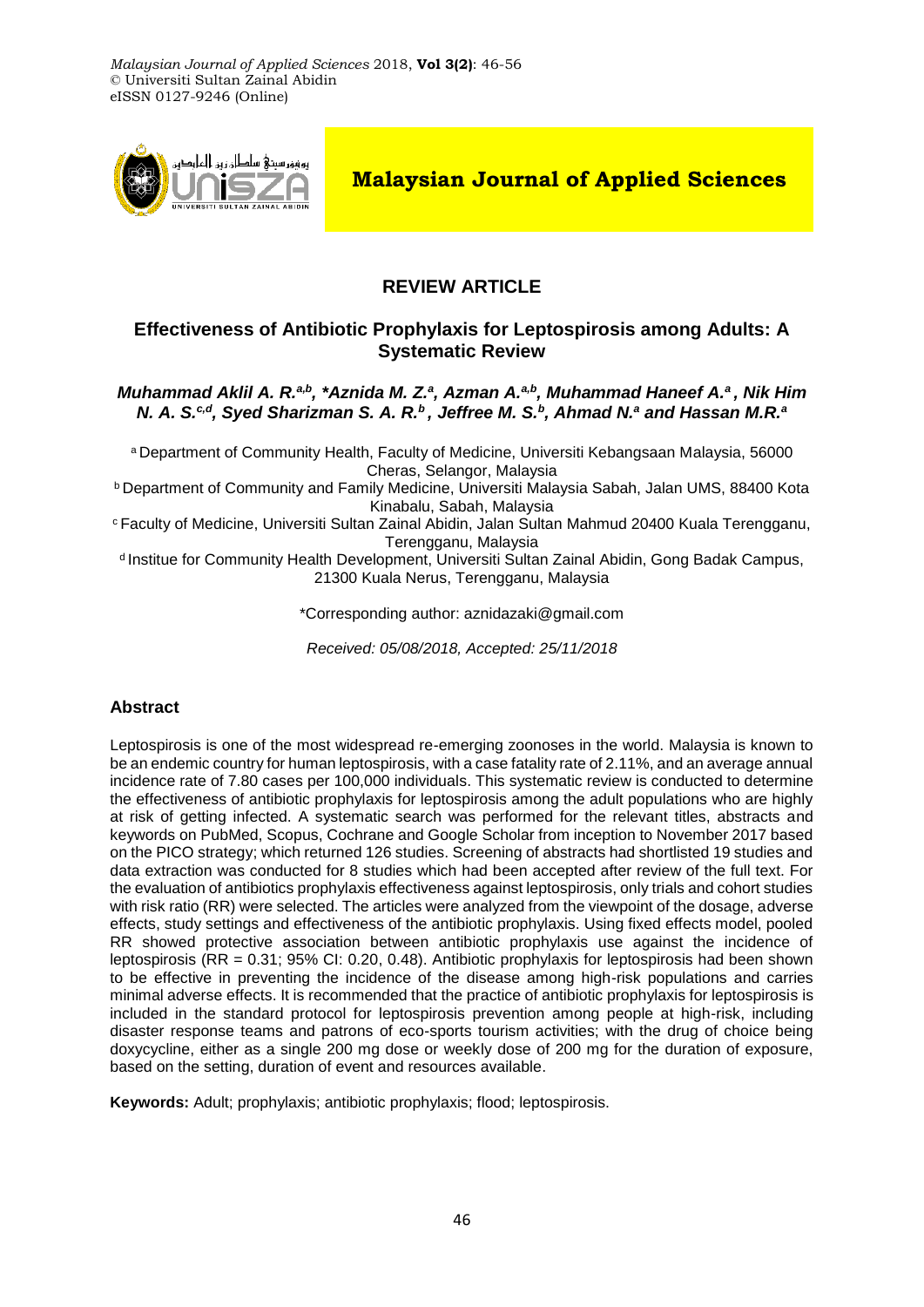

**Malaysian Journal of Applied Sciences**

# **REVIEW ARTICLE**

## **Effectiveness of Antibiotic Prophylaxis for Leptospirosis among Adults: A Systematic Review**

### *Muhammad Aklil A. R.<sup>a,b</sup>, \*Aznida M. Z.<sup>a</sup>, Azman A.<sup>a,b</sup>, Muhammad Haneef A.<sup>a</sup>, Nik Him N. A. S.c,d, Syed Sharizman S. A. R.<sup>b</sup>, Jeffree M. S.<sup>b</sup> , Ahmad N.<sup>a</sup> and Hassan M.R.<sup>a</sup>*

<sup>a</sup> Department of Community Health, Faculty of Medicine, Universiti Kebangsaan Malaysia, 56000 Cheras, Selangor, Malaysia

<sup>b</sup> Department of Community and Family Medicine, Universiti Malaysia Sabah, Jalan UMS, 88400 Kota Kinabalu, Sabah, Malaysia

<sup>c</sup> Faculty of Medicine, Universiti Sultan Zainal Abidin, Jalan Sultan Mahmud 20400 Kuala Terengganu, Terengganu, Malaysia

<sup>d</sup> Institue for Community Health Development, Universiti Sultan Zainal Abidin, Gong Badak Campus, 21300 Kuala Nerus, Terengganu, Malaysia

\*Corresponding author: aznidazaki@gmail.com

*Received: 05/08/2018, Accepted: 25/11/2018*

# **Abstract**

Leptospirosis is one of the most widespread re-emerging zoonoses in the world. Malaysia is known to be an endemic country for human leptospirosis, with a case fatality rate of 2.11%, and an average annual incidence rate of 7.80 cases per 100,000 individuals. This systematic review is conducted to determine the effectiveness of antibiotic prophylaxis for leptospirosis among the adult populations who are highly at risk of getting infected. A systematic search was performed for the relevant titles, abstracts and keywords on PubMed, Scopus, Cochrane and Google Scholar from inception to November 2017 based on the PICO strategy; which returned 126 studies. Screening of abstracts had shortlisted 19 studies and data extraction was conducted for 8 studies which had been accepted after review of the full text. For the evaluation of antibiotics prophylaxis effectiveness against leptospirosis, only trials and cohort studies with risk ratio (RR) were selected. The articles were analyzed from the viewpoint of the dosage, adverse effects, study settings and effectiveness of the antibiotic prophylaxis. Using fixed effects model, pooled RR showed protective association between antibiotic prophylaxis use against the incidence of leptospirosis (RR = 0.31; 95% CI: 0.20, 0.48). Antibiotic prophylaxis for leptospirosis had been shown to be effective in preventing the incidence of the disease among high-risk populations and carries minimal adverse effects. It is recommended that the practice of antibiotic prophylaxis for leptospirosis is included in the standard protocol for leptospirosis prevention among people at high-risk, including disaster response teams and patrons of eco-sports tourism activities; with the drug of choice being doxycycline, either as a single 200 mg dose or weekly dose of 200 mg for the duration of exposure, based on the setting, duration of event and resources available.

**Keywords:** Adult; prophylaxis; antibiotic prophylaxis; flood; leptospirosis.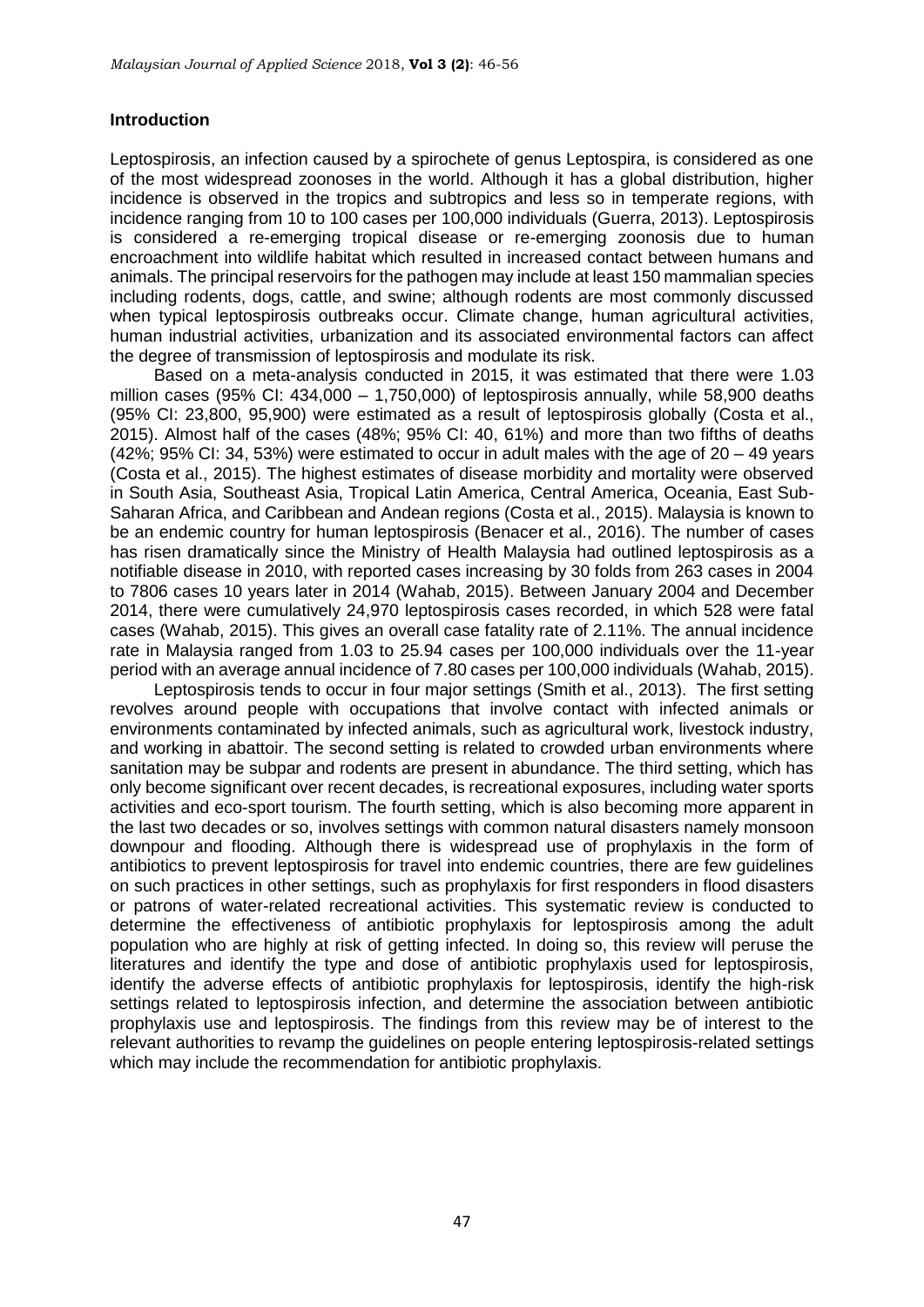### **Introduction**

Leptospirosis, an infection caused by a spirochete of genus Leptospira, is considered as one of the most widespread zoonoses in the world. Although it has a global distribution, higher incidence is observed in the tropics and subtropics and less so in temperate regions, with incidence ranging from 10 to 100 cases per 100,000 individuals [\(Guerra, 2013\)](#page-9-0). Leptospirosis is considered a re-emerging tropical disease or re-emerging zoonosis due to human encroachment into wildlife habitat which resulted in increased contact between humans and animals. The principal reservoirs for the pathogen may include at least 150 mammalian species including rodents, dogs, cattle, and swine; although rodents are most commonly discussed when typical leptospirosis outbreaks occur. Climate change, human agricultural activities, human industrial activities, urbanization and its associated environmental factors can affect the degree of transmission of leptospirosis and modulate its risk.

Based on a meta-analysis conducted in 2015, it was estimated that there were 1.03 million cases (95% CI: 434,000 – 1,750,000) of leptospirosis annually, while 58,900 deaths (95% CI: 23,800, 95,900) were estimated as a result of leptospirosis globally [\(Costa et](#page-9-1) al., [2015\)](#page-9-1). Almost half of the cases (48%; 95% CI: 40, 61%) and more than two fifths of deaths  $(42\%; 95\% \text{ Cl}: 34, 53\%)$  were estimated to occur in adult males with the age of  $20 - 49$  years [\(Costa et al., 2015\)](#page-9-1). The highest estimates of disease morbidity and mortality were observed in South Asia, Southeast Asia, Tropical Latin America, Central America, Oceania, East Sub-Saharan Africa, and Caribbean and Andean regions [\(Costa et al., 2015\)](#page-9-1). Malaysia is known to be an endemic country for human leptospirosis [\(Benacer et al., 2016\)](#page-9-2). The number of cases has risen dramatically since the Ministry of Health Malaysia had outlined leptospirosis as a notifiable disease in 2010, with reported cases increasing by 30 folds from 263 cases in 2004 to 7806 cases 10 years later in 2014 [\(Wahab, 2015\)](#page-10-0). Between January 2004 and December 2014, there were cumulatively 24,970 leptospirosis cases recorded, in which 528 were fatal cases (Wahab, 2015). This gives an overall case fatality rate of 2.11%. The annual incidence rate in Malaysia ranged from 1.03 to 25.94 cases per 100,000 individuals over the 11-year period with an average annual incidence of 7.80 cases per 100,000 individuals [\(Wahab, 2015\)](#page-10-0).

Leptospirosis tends to occur in four major settings (Smith [et al., 2013\)](#page-10-1). The first setting revolves around people with occupations that involve contact with infected animals or environments contaminated by infected animals, such as agricultural work, livestock industry, and working in abattoir. The second setting is related to crowded urban environments where sanitation may be subpar and rodents are present in abundance. The third setting, which has only become significant over recent decades, is recreational exposures, including water sports activities and eco-sport tourism. The fourth setting, which is also becoming more apparent in the last two decades or so, involves settings with common natural disasters namely monsoon downpour and flooding. Although there is widespread use of prophylaxis in the form of antibiotics to prevent leptospirosis for travel into endemic countries, there are few guidelines on such practices in other settings, such as prophylaxis for first responders in flood disasters or patrons of water-related recreational activities. This systematic review is conducted to determine the effectiveness of antibiotic prophylaxis for leptospirosis among the adult population who are highly at risk of getting infected. In doing so, this review will peruse the literatures and identify the type and dose of antibiotic prophylaxis used for leptospirosis, identify the adverse effects of antibiotic prophylaxis for leptospirosis, identify the high-risk settings related to leptospirosis infection, and determine the association between antibiotic prophylaxis use and leptospirosis. The findings from this review may be of interest to the relevant authorities to revamp the guidelines on people entering leptospirosis-related settings which may include the recommendation for antibiotic prophylaxis.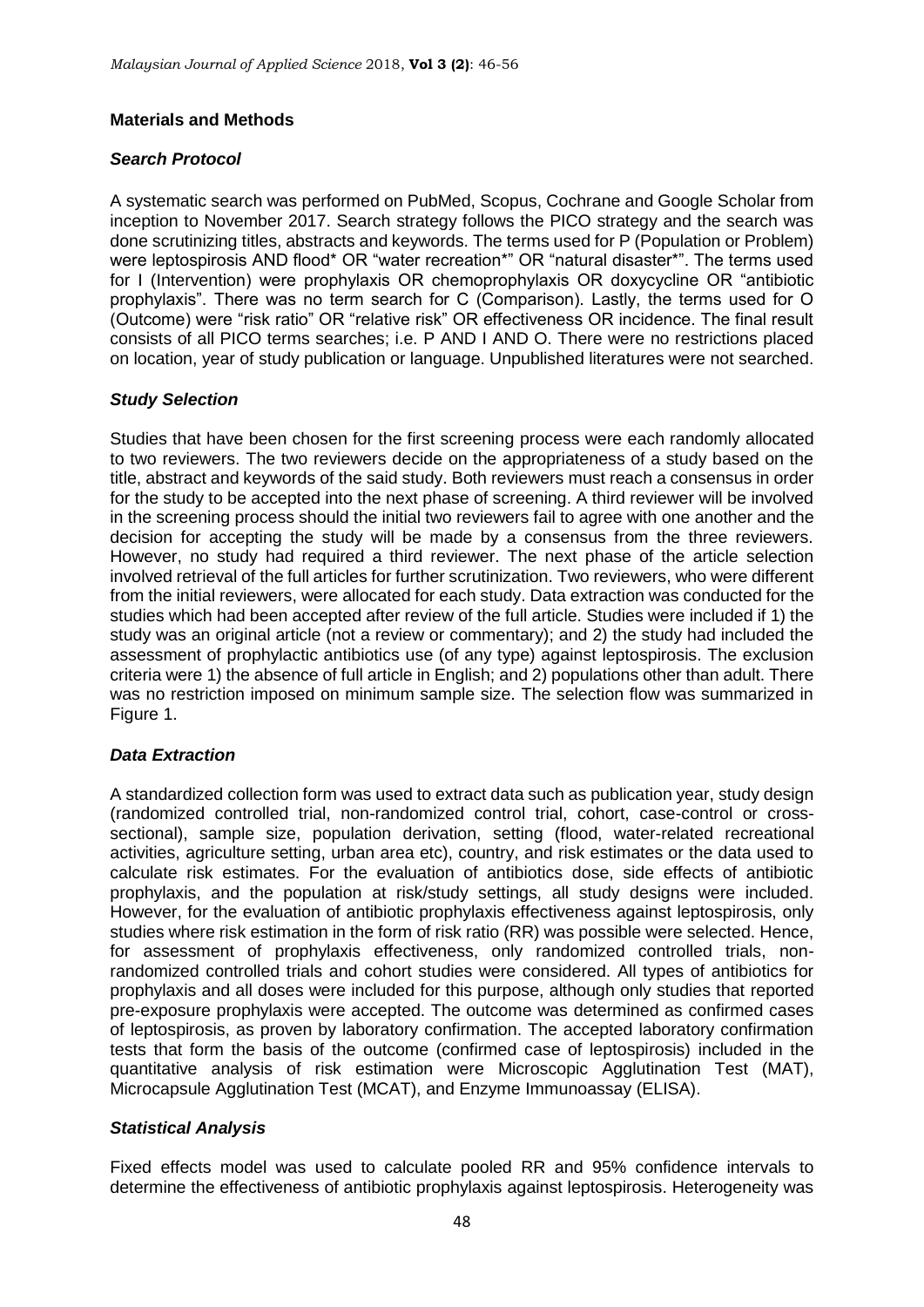## **Materials and Methods**

## *Search Protocol*

A systematic search was performed on PubMed, Scopus, Cochrane and Google Scholar from inception to November 2017. Search strategy follows the PICO strategy and the search was done scrutinizing titles, abstracts and keywords. The terms used for P (Population or Problem) were leptospirosis AND flood\* OR "water recreation\*" OR "natural disaster\*". The terms used for I (Intervention) were prophylaxis OR chemoprophylaxis OR doxycycline OR "antibiotic prophylaxis". There was no term search for C (Comparison). Lastly, the terms used for O (Outcome) were "risk ratio" OR "relative risk" OR effectiveness OR incidence. The final result consists of all PICO terms searches; i.e. P AND I AND O. There were no restrictions placed on location, year of study publication or language. Unpublished literatures were not searched.

## *Study Selection*

Studies that have been chosen for the first screening process were each randomly allocated to two reviewers. The two reviewers decide on the appropriateness of a study based on the title, abstract and keywords of the said study. Both reviewers must reach a consensus in order for the study to be accepted into the next phase of screening. A third reviewer will be involved in the screening process should the initial two reviewers fail to agree with one another and the decision for accepting the study will be made by a consensus from the three reviewers. However, no study had required a third reviewer. The next phase of the article selection involved retrieval of the full articles for further scrutinization. Two reviewers, who were different from the initial reviewers, were allocated for each study. Data extraction was conducted for the studies which had been accepted after review of the full article. Studies were included if 1) the study was an original article (not a review or commentary); and 2) the study had included the assessment of prophylactic antibiotics use (of any type) against leptospirosis. The exclusion criteria were 1) the absence of full article in English; and 2) populations other than adult. There was no restriction imposed on minimum sample size. The selection flow was summarized in Figure 1.

# *Data Extraction*

A standardized collection form was used to extract data such as publication year, study design (randomized controlled trial, non-randomized control trial, cohort, case-control or crosssectional), sample size, population derivation, setting (flood, water-related recreational activities, agriculture setting, urban area etc), country, and risk estimates or the data used to calculate risk estimates. For the evaluation of antibiotics dose, side effects of antibiotic prophylaxis, and the population at risk/study settings, all study designs were included. However, for the evaluation of antibiotic prophylaxis effectiveness against leptospirosis, only studies where risk estimation in the form of risk ratio (RR) was possible were selected. Hence, for assessment of prophylaxis effectiveness, only randomized controlled trials, nonrandomized controlled trials and cohort studies were considered. All types of antibiotics for prophylaxis and all doses were included for this purpose, although only studies that reported pre-exposure prophylaxis were accepted. The outcome was determined as confirmed cases of leptospirosis, as proven by laboratory confirmation. The accepted laboratory confirmation tests that form the basis of the outcome (confirmed case of leptospirosis) included in the quantitative analysis of risk estimation were Microscopic Agglutination Test (MAT), Microcapsule Agglutination Test (MCAT), and Enzyme Immunoassay (ELISA).

### *Statistical Analysis*

Fixed effects model was used to calculate pooled RR and 95% confidence intervals to determine the effectiveness of antibiotic prophylaxis against leptospirosis. Heterogeneity was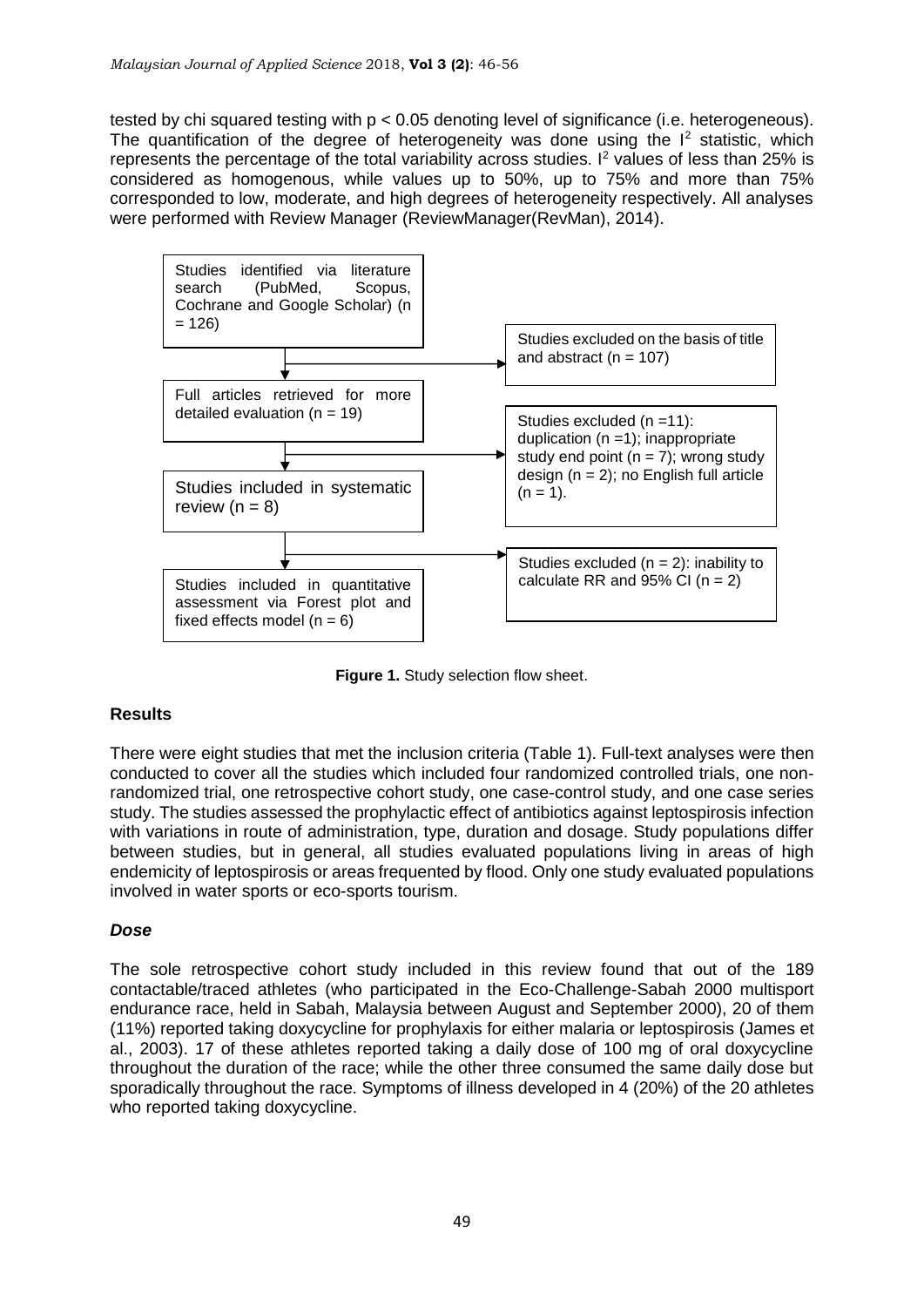tested by chi squared testing with p < 0.05 denoting level of significance (i.e. heterogeneous). The quantification of the degree of heterogeneity was done using the  $I^2$  statistic, which represents the percentage of the total variability across studies.  $I<sup>2</sup>$  values of less than 25% is considered as homogenous, while values up to 50%, up to 75% and more than 75% corresponded to low, moderate, and high degrees of heterogeneity respectively. All analyses were performed with Review Manager [\(ReviewManager\(RevMan\), 2014\)](#page-10-2).



**Figure 1.** Study selection flow sheet.

# **Results**

There were eight studies that met the inclusion criteria (Table 1). Full-text analyses were then conducted to cover all the studies which included four randomized controlled trials, one nonrandomized trial, one retrospective cohort study, one case-control study, and one case series study. The studies assessed the prophylactic effect of antibiotics against leptospirosis infection with variations in route of administration, type, duration and dosage. Study populations differ between studies, but in general, all studies evaluated populations living in areas of high endemicity of leptospirosis or areas frequented by flood. Only one study evaluated populations involved in water sports or eco-sports tourism.

# *Dose*

The sole retrospective cohort study included in this review found that out of the 189 contactable/traced athletes (who participated in the Eco-Challenge-Sabah 2000 multisport endurance race, held in Sabah, Malaysia between August and September 2000), 20 of them (11%) reported taking doxycycline for prophylaxis for either malaria or leptospirosis [\(James et](#page-9-3)  [al., 2003\)](#page-9-3). 17 of these athletes reported taking a daily dose of 100 mg of oral doxycycline throughout the duration of the race; while the other three consumed the same daily dose but sporadically throughout the race. Symptoms of illness developed in 4 (20%) of the 20 athletes who reported taking doxycycline.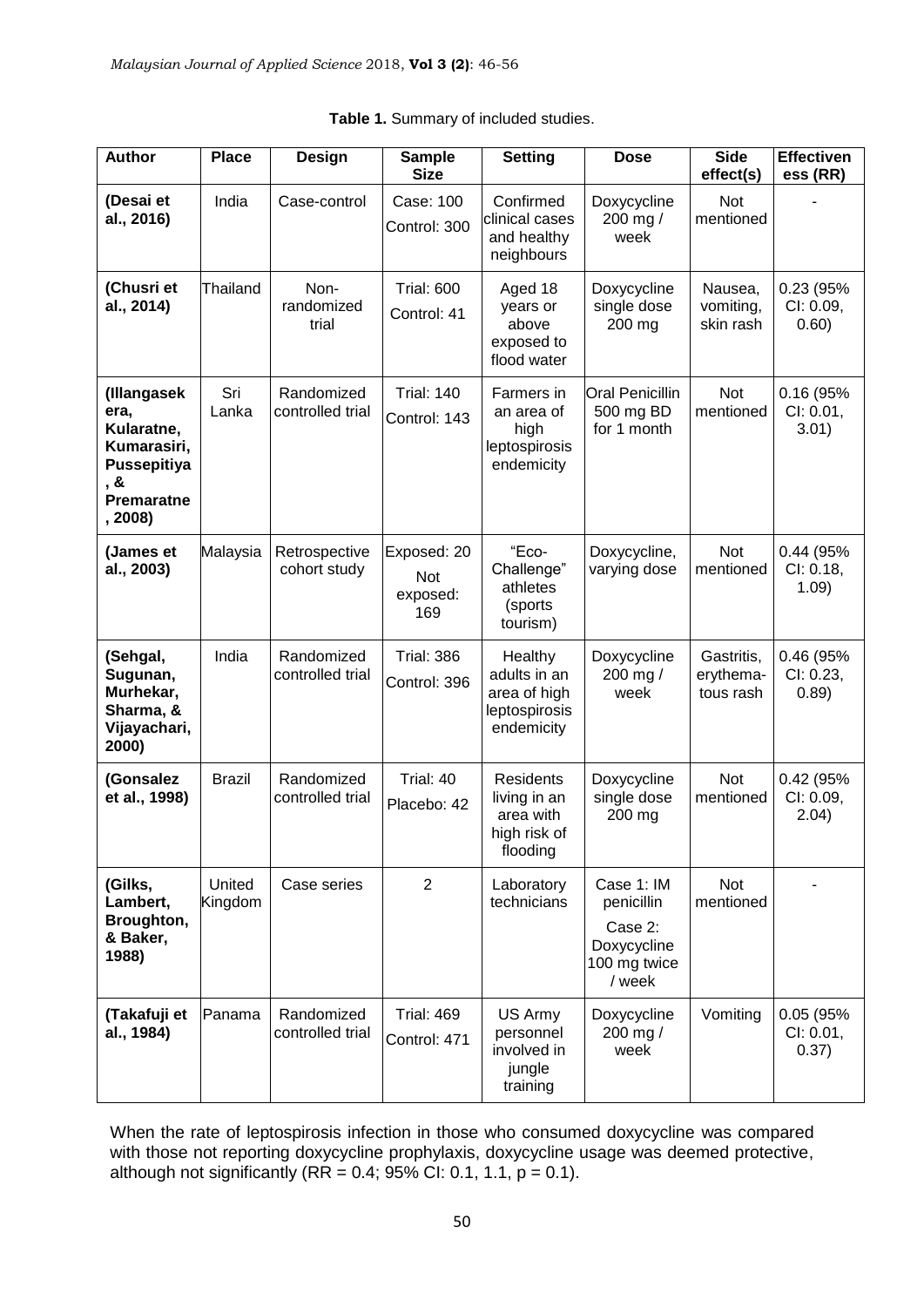| <b>Author</b>                                                                                          | <b>Place</b>      | Design                         | <b>Sample</b><br><b>Size</b>          | <b>Setting</b>                                                            | <b>Dose</b>                                                                  | <b>Side</b><br>effect(s)             | <b>Effectiven</b><br>ess (RR)   |
|--------------------------------------------------------------------------------------------------------|-------------------|--------------------------------|---------------------------------------|---------------------------------------------------------------------------|------------------------------------------------------------------------------|--------------------------------------|---------------------------------|
| (Desai et<br>al., 2016)                                                                                | India             | Case-control                   | Case: 100<br>Control: 300             | Confirmed<br>clinical cases<br>and healthy<br>neighbours                  | Doxycycline<br>200 mg /<br>week                                              | Not<br>mentioned                     |                                 |
| (Chusri et<br>al., 2014)                                                                               | Thailand          | Non-<br>randomized<br>trial    | <b>Trial: 600</b><br>Control: 41      | Aged 18<br>years or<br>above<br>exposed to<br>flood water                 | Doxycycline<br>single dose<br>200 mg                                         | Nausea,<br>vomiting,<br>skin rash    | 0.23 (95%<br>CI: 0.09,<br>0.60) |
| (Illangasek<br>era,<br>Kularatne,<br>Kumarasiri,<br>Pussepitiya<br>, &<br><b>Premaratne</b><br>, 2008) | Sri<br>Lanka      | Randomized<br>controlled trial | <b>Trial: 140</b><br>Control: 143     | Farmers in<br>an area of<br>high<br>leptospirosis<br>endemicity           | Oral Penicillin<br>500 mg BD<br>for 1 month                                  | <b>Not</b><br>mentioned              | 0.16 (95%<br>Cl: 0.01,<br>3.01) |
| (James et<br>al., 2003)                                                                                | Malaysia          | Retrospective<br>cohort study  | Exposed: 20<br>Not<br>exposed:<br>169 | "Eco-<br>Challenge"<br>athletes<br>(sports<br>tourism)                    | Doxycycline,<br>varying dose                                                 | Not<br>mentioned                     | 0.44 (95%<br>Cl: 0.18,<br>1.09) |
| (Sehgal,<br>Sugunan,<br>Murhekar,<br>Sharma, &<br>Vijayachari,<br>2000)                                | India             | Randomized<br>controlled trial | <b>Trial: 386</b><br>Control: 396     | Healthy<br>adults in an<br>area of high<br>leptospirosis<br>endemicity    | Doxycycline<br>200 mg /<br>week                                              | Gastritis,<br>erythema-<br>tous rash | 0.46 (95%<br>Cl: 0.23,<br>0.89) |
| (Gonsalez<br>et al., 1998)                                                                             | <b>Brazil</b>     | Randomized<br>controlled trial | Trial: 40<br>Placebo: 42              | <b>Residents</b><br>living in an<br>area with<br>high risk of<br>flooding | Doxycycline<br>single dose<br>200 mg                                         | Not<br>mentioned                     | 0.42 (95%<br>CI: 0.09,<br>2.04) |
| (Gilks,<br>Lambert,<br>Broughton,<br>& Baker,<br>1988)                                                 | United<br>Kingdom | Case series                    | $\overline{2}$                        | Laboratory<br>technicians                                                 | Case 1: IM<br>penicillin<br>Case 2:<br>Doxycycline<br>100 mg twice<br>/ week | Not<br>mentioned                     |                                 |
| (Takafuji et<br>al., 1984)                                                                             | Panama            | Randomized<br>controlled trial | <b>Trial: 469</b><br>Control: 471     | US Army<br>personnel<br>involved in<br>jungle<br>training                 | Doxycycline<br>200 mg /<br>week                                              | Vomiting                             | 0.05 (95%<br>Cl: 0.01,<br>0.37) |

|  | Table 1. Summary of included studies. |  |
|--|---------------------------------------|--|
|  |                                       |  |

When the rate of leptospirosis infection in those who consumed doxycycline was compared with those not reporting doxycycline prophylaxis, doxycycline usage was deemed protective, although not significantly  $(RR = 0.4; 95\% \text{ CI: } 0.1, 1.1, p = 0.1)$ .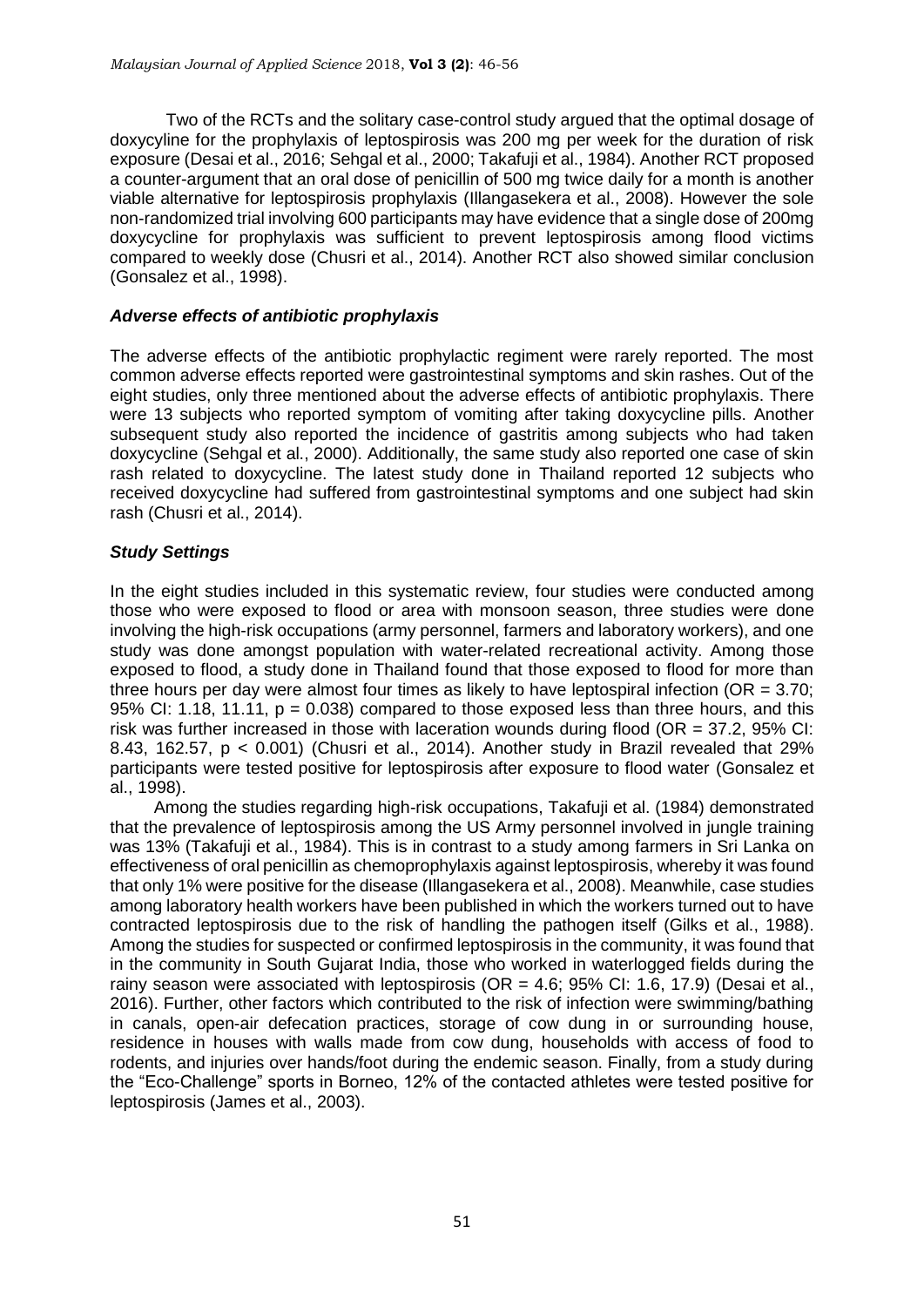Two of the RCTs and the solitary case-control study argued that the optimal dosage of doxycyline for the prophylaxis of leptospirosis was 200 mg per week for the duration of risk exposure [\(Desai et al., 2016;](#page-9-4) [Sehgal et al., 2000;](#page-10-3) [Takafuji et al., 1984\)](#page-10-4). Another RCT proposed a counter-argument that an oral dose of penicillin of 500 mg twice daily for a month is another viable alternative for leptospirosis prophylaxis [\(Illangasekera et al., 2008\)](#page-9-6). However the sole non-randomized trial involving 600 participants may have evidence that a single dose of 200mg doxycycline for prophylaxis was sufficient to prevent leptospirosis among flood victims compared to weekly dose [\(Chusri et al., 2014\)](#page-9-5). Another RCT also showed similar conclusion [\(Gonsalez et al., 1998\)](#page-9-7).

### *Adverse effects of antibiotic prophylaxis*

The adverse effects of the antibiotic prophylactic regiment were rarely reported. The most common adverse effects reported were gastrointestinal symptoms and skin rashes. Out of the eight studies, only three mentioned about the adverse effects of antibiotic prophylaxis. There were 13 subjects who reported symptom of vomiting after taking doxycycline pills. Another subsequent study also reported the incidence of gastritis among subjects who had taken doxycycline [\(Sehgal et al., 2000\)](#page-10-3). Additionally, the same study also reported one case of skin rash related to doxycycline. The latest study done in Thailand reported 12 subjects who received doxycycline had suffered from gastrointestinal symptoms and one subject had skin rash [\(Chusri et al., 2014\)](#page-9-5).

## *Study Settings*

In the eight studies included in this systematic review, four studies were conducted among those who were exposed to flood or area with monsoon season, three studies were done involving the high-risk occupations (army personnel, farmers and laboratory workers), and one study was done amongst population with water-related recreational activity. Among those exposed to flood, a study done in Thailand found that those exposed to flood for more than three hours per day were almost four times as likely to have leptospiral infection ( $OR = 3.70$ ; 95% CI: 1.18, 11.11,  $p = 0.038$  compared to those exposed less than three hours, and this risk was further increased in those with laceration wounds during flood (OR = 37.2, 95% CI: 8.43, 162.57, p < 0.001) [\(Chusri et al., 2014\)](#page-9-5). Another study in Brazil revealed that 29% participants were tested positive for leptospirosis after exposure to flood water [\(Gonsalez et](#page-9-7)  [al., 1998\)](#page-9-7).

Among the studies regarding high-risk occupations, Takafuji et al. (1984) demonstrated that the prevalence of leptospirosis among the US Army personnel involved in jungle training was 13% [\(Takafuji et al., 1984\)](#page-10-4). This is in contrast to a study among farmers in Sri Lanka on effectiveness of oral penicillin as chemoprophylaxis against leptospirosis, whereby it was found that only 1% were positive for the disease [\(Illangasekera et al., 2008\)](#page-9-6). Meanwhile, case studies among laboratory health workers have been published in which the workers turned out to have contracted leptospirosis due to the risk of handling the pathogen itself [\(Gilks et al., 1988\)](#page-9-8). Among the studies for suspected or confirmed leptospirosis in the community, it was found that in the community in South Gujarat India, those who worked in waterlogged fields during the rainy season were associated with leptospirosis (OR = 4.6; 95% CI: 1.6, 17.9) [\(Desai et al.,](#page-9-4)  [2016\)](#page-9-4). Further, other factors which contributed to the risk of infection were swimming/bathing in canals, open-air defecation practices, storage of cow dung in or surrounding house, residence in houses with walls made from cow dung, households with access of food to rodents, and injuries over hands/foot during the endemic season. Finally, from a study during the "Eco-Challenge" sports in Borneo, 12% of the contacted athletes were tested positive for leptospirosis [\(James et al., 2003\)](#page-9-3).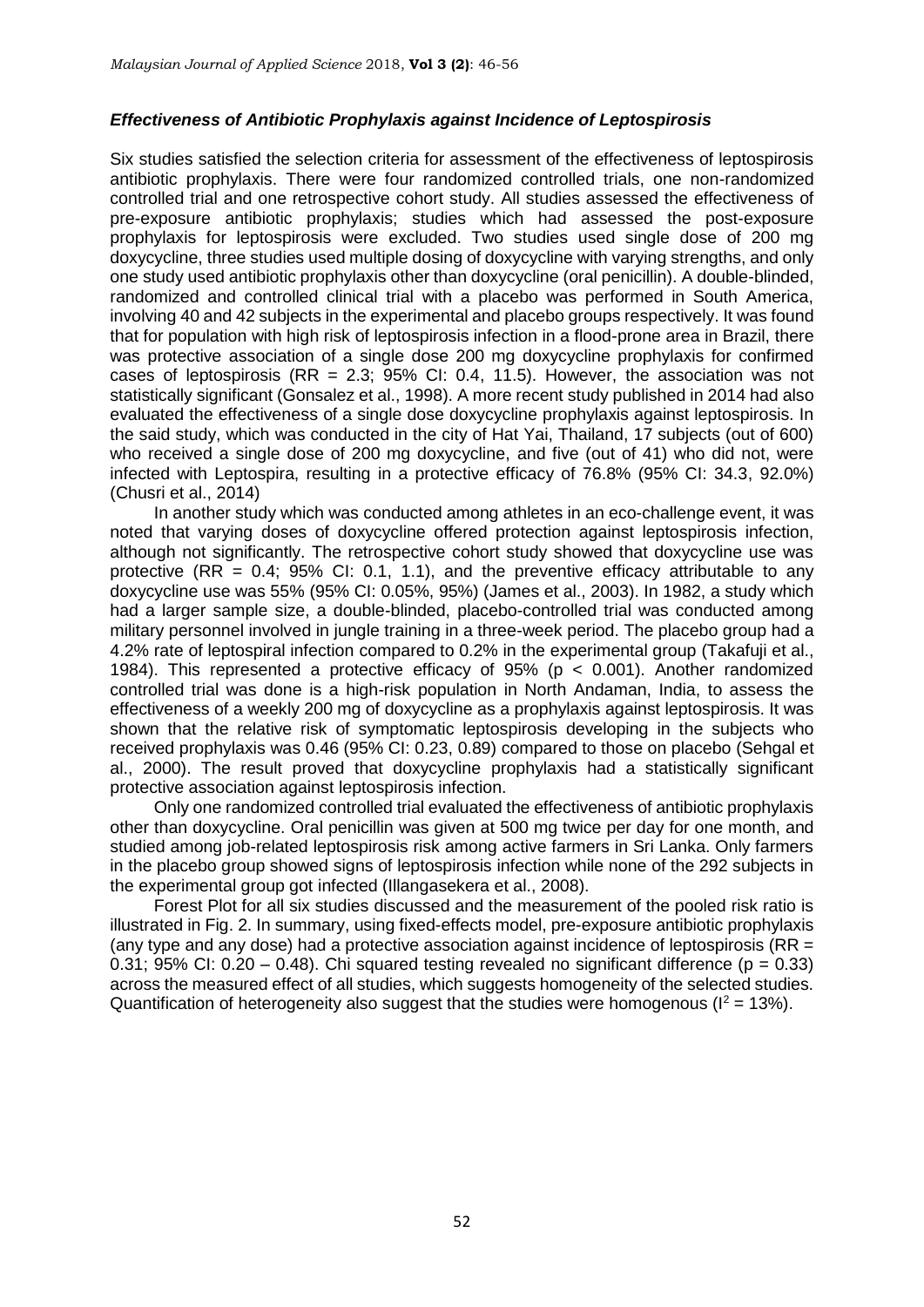#### *Effectiveness of Antibiotic Prophylaxis against Incidence of Leptospirosis*

Six studies satisfied the selection criteria for assessment of the effectiveness of leptospirosis antibiotic prophylaxis. There were four randomized controlled trials, one non-randomized controlled trial and one retrospective cohort study. All studies assessed the effectiveness of pre-exposure antibiotic prophylaxis; studies which had assessed the post-exposure prophylaxis for leptospirosis were excluded. Two studies used single dose of 200 mg doxycycline, three studies used multiple dosing of doxycycline with varying strengths, and only one study used antibiotic prophylaxis other than doxycycline (oral penicillin). A double-blinded, randomized and controlled clinical trial with a placebo was performed in South America, involving 40 and 42 subjects in the experimental and placebo groups respectively. It was found that for population with high risk of leptospirosis infection in a flood-prone area in Brazil, there was protective association of a single dose 200 mg doxycycline prophylaxis for confirmed cases of leptospirosis (RR =  $2.3$ ;  $95\%$  Cl: 0.4, 11.5). However, the association was not statistically significant [\(Gonsalez et al., 1998\)](#page-9-7). A more recent study published in 2014 had also evaluated the effectiveness of a single dose doxycycline prophylaxis against leptospirosis. In the said study, which was conducted in the city of Hat Yai, Thailand, 17 subjects (out of 600) who received a single dose of 200 mg doxycycline, and five (out of 41) who did not, were infected with Leptospira, resulting in a protective efficacy of 76.8% (95% CI: 34.3, 92.0%) [\(Chusri et al., 2014\)](#page-9-5)

In another study which was conducted among athletes in an eco-challenge event, it was noted that varying doses of doxycycline offered protection against leptospirosis infection, although not significantly. The retrospective cohort study showed that doxycycline use was protective (RR =  $0.4$ : 95% CI: 0.1, 1.1), and the preventive efficacy attributable to any doxycycline use was 55% (95% CI: 0.05%, 95%) [\(James et al., 2003\)](#page-9-3). In 1982, a study which had a larger sample size, a double-blinded, placebo-controlled trial was conducted among military personnel involved in jungle training in a three-week period. The placebo group had a 4.2% rate of leptospiral infection compared to 0.2% in the experimental group [\(Takafuji et al.,](#page-10-4)  [1984\)](#page-10-4). This represented a protective efficacy of 95% (p < 0.001). Another randomized controlled trial was done is a high-risk population in North Andaman, India, to assess the effectiveness of a weekly 200 mg of doxycycline as a prophylaxis against leptospirosis. It was shown that the relative risk of symptomatic leptospirosis developing in the subjects who received prophylaxis was 0.46 (95% CI: 0.23, 0.89) compared to those on placebo [\(Sehgal et](#page-10-3)  [al., 2000\)](#page-10-3). The result proved that doxycycline prophylaxis had a statistically significant protective association against leptospirosis infection.

Only one randomized controlled trial evaluated the effectiveness of antibiotic prophylaxis other than doxycycline. Oral penicillin was given at 500 mg twice per day for one month, and studied among job-related leptospirosis risk among active farmers in Sri Lanka. Only farmers in the placebo group showed signs of leptospirosis infection while none of the 292 subjects in the experimental group got infected [\(Illangasekera et al., 2008\)](#page-9-6).

Forest Plot for all six studies discussed and the measurement of the pooled risk ratio is illustrated in Fig. 2. In summary, using fixed-effects model, pre-exposure antibiotic prophylaxis (any type and any dose) had a protective association against incidence of leptospirosis (RR  $=$ 0.31; 95% CI: 0.20 – 0.48). Chi squared testing revealed no significant difference ( $p = 0.33$ ) across the measured effect of all studies, which suggests homogeneity of the selected studies. Quantification of heterogeneity also suggest that the studies were homogenous ( $I^2 = 13\%$ ).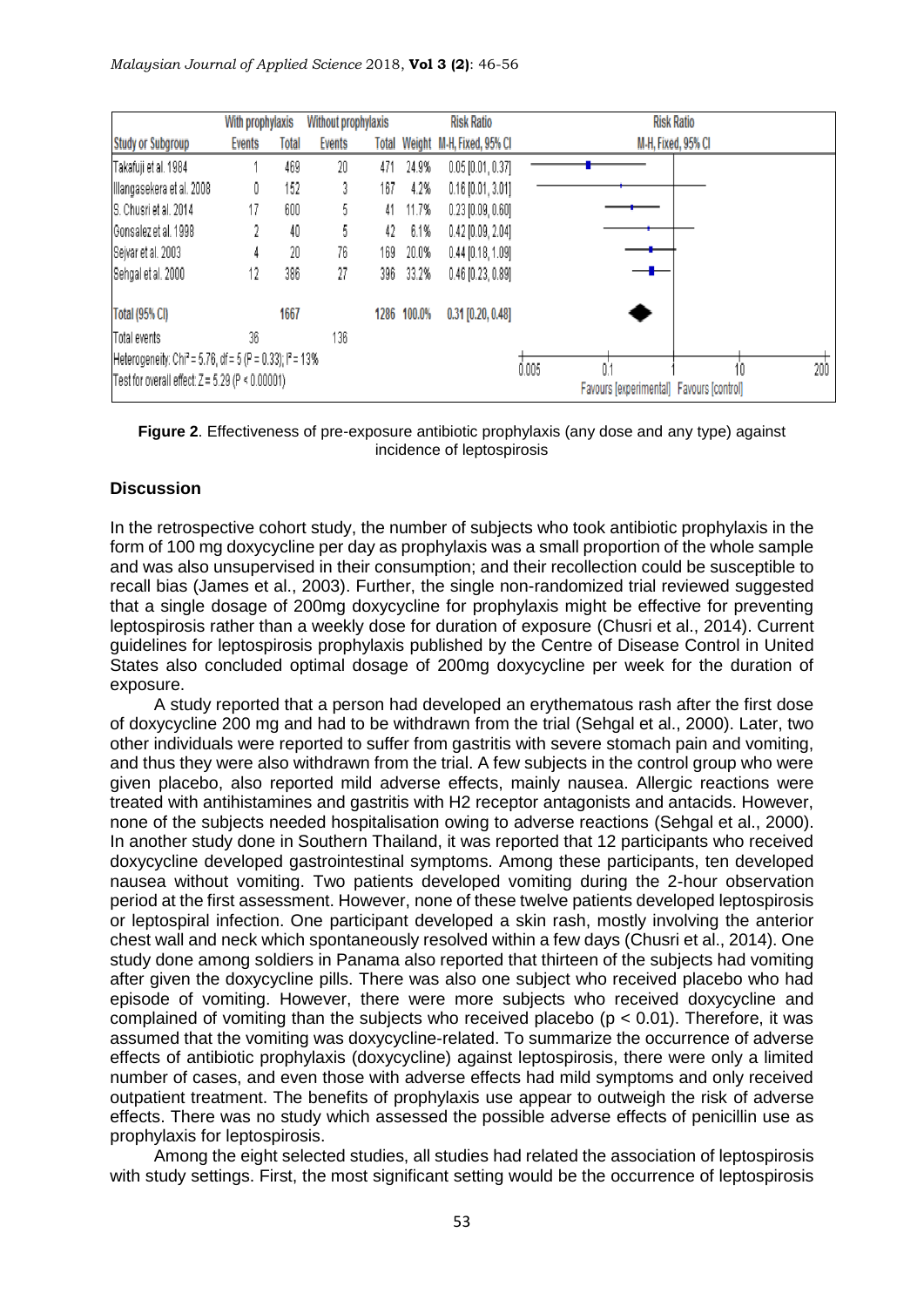|                                                                                 | With prophylaxis |       | <b>Without prophylaxis</b> |       | <b>Risk Ratio</b> |                           | <b>Risk Ratio</b>                        |  |     |  |
|---------------------------------------------------------------------------------|------------------|-------|----------------------------|-------|-------------------|---------------------------|------------------------------------------|--|-----|--|
| <b>Study or Subgroup</b>                                                        | <b>Events</b>    | Total | <b>Events</b>              | Total |                   | Weight M-H, Fixed, 95% Cl | M-H, Fixed, 95% CI                       |  |     |  |
| Takafuji et al. 1984                                                            |                  | 469   | 20                         | 471   | 24.9%             | $0.05$ [0.01, 0.37]       |                                          |  |     |  |
| Illangasekera et al. 2008                                                       | 0                | 152   | 3                          | 167   | 4.2%              | $0.16$ [0.01, 3.01]       |                                          |  |     |  |
| S. Chusri et al. 2014                                                           |                  | 600   | 5                          | 41    | 11.7%             | $0.23$ $[0.09, 0.60]$     |                                          |  |     |  |
| Gonsalez et al. 1998                                                            |                  | 40    | 5                          | 42    | 6.1%              | $0.42$ [0.09, 2.04]       |                                          |  |     |  |
| Sejvar et al. 2003                                                              |                  | 20    | 76                         | 169   | 20.0%             | $0.44$ [0.18, 1.09]       |                                          |  |     |  |
| Sehgal et al. 2000                                                              | 12               | 386   | 27                         | 396   | 33.2%             | $0.46$ [0.23, 0.89]       |                                          |  |     |  |
| <b>Total (95% CI)</b>                                                           | 1667             |       |                            | 1286  | 100.0%            | $0.31$ [0.20, 0.48]       |                                          |  |     |  |
| Total events                                                                    | 36               |       | 136                        |       |                   |                           |                                          |  |     |  |
| Heterogeneity: Chi <sup>2</sup> = 5.76, df = 5 (P = 0.33); l <sup>2</sup> = 13% |                  |       |                            |       |                   | 0.005                     |                                          |  | 200 |  |
| Test for overall effect: $Z = 5.29$ (P < 0.00001)                               |                  |       |                            |       |                   |                           | Favours [experimental] Favours [control] |  |     |  |

**Figure 2**. Effectiveness of pre-exposure antibiotic prophylaxis (any dose and any type) against incidence of leptospirosis

#### **Discussion**

In the retrospective cohort study, the number of subjects who took antibiotic prophylaxis in the form of 100 mg doxycycline per day as prophylaxis was a small proportion of the whole sample and was also unsupervised in their consumption; and their recollection could be susceptible to recall bias [\(James et al., 2003\)](#page-9-3). Further, the single non-randomized trial reviewed suggested that a single dosage of 200mg doxycycline for prophylaxis might be effective for preventing leptospirosis rather than a weekly dose for duration of exposure [\(Chusri et al., 2014\)](#page-9-5). Current guidelines for leptospirosis prophylaxis published by the Centre of Disease Control in United States also concluded optimal dosage of 200mg doxycycline per week for the duration of exposure.

A study reported that a person had developed an erythematous rash after the first dose of doxycycline 200 mg and had to be withdrawn from the trial [\(Sehgal et al., 2000\)](#page-10-3). Later, two other individuals were reported to suffer from gastritis with severe stomach pain and vomiting, and thus they were also withdrawn from the trial. A few subjects in the control group who were given placebo, also reported mild adverse effects, mainly nausea. Allergic reactions were treated with antihistamines and gastritis with H2 receptor antagonists and antacids. However, none of the subjects needed hospitalisation owing to adverse reactions [\(Sehgal et al., 2000\)](#page-10-3). In another study done in Southern Thailand, it was reported that 12 participants who received doxycycline developed gastrointestinal symptoms. Among these participants, ten developed nausea without vomiting. Two patients developed vomiting during the 2-hour observation period at the first assessment. However, none of these twelve patients developed leptospirosis or leptospiral infection. One participant developed a skin rash, mostly involving the anterior chest wall and neck which spontaneously resolved within a few days [\(Chusri et al., 2014\)](#page-9-5). One study done among soldiers in Panama also reported that thirteen of the subjects had vomiting after given the doxycycline pills. There was also one subject who received placebo who had episode of vomiting. However, there were more subjects who received doxycycline and complained of vomiting than the subjects who received placebo ( $p < 0.01$ ). Therefore, it was assumed that the vomiting was doxycycline-related. To summarize the occurrence of adverse effects of antibiotic prophylaxis (doxycycline) against leptospirosis, there were only a limited number of cases, and even those with adverse effects had mild symptoms and only received outpatient treatment. The benefits of prophylaxis use appear to outweigh the risk of adverse effects. There was no study which assessed the possible adverse effects of penicillin use as prophylaxis for leptospirosis.

Among the eight selected studies, all studies had related the association of leptospirosis with study settings. First, the most significant setting would be the occurrence of leptospirosis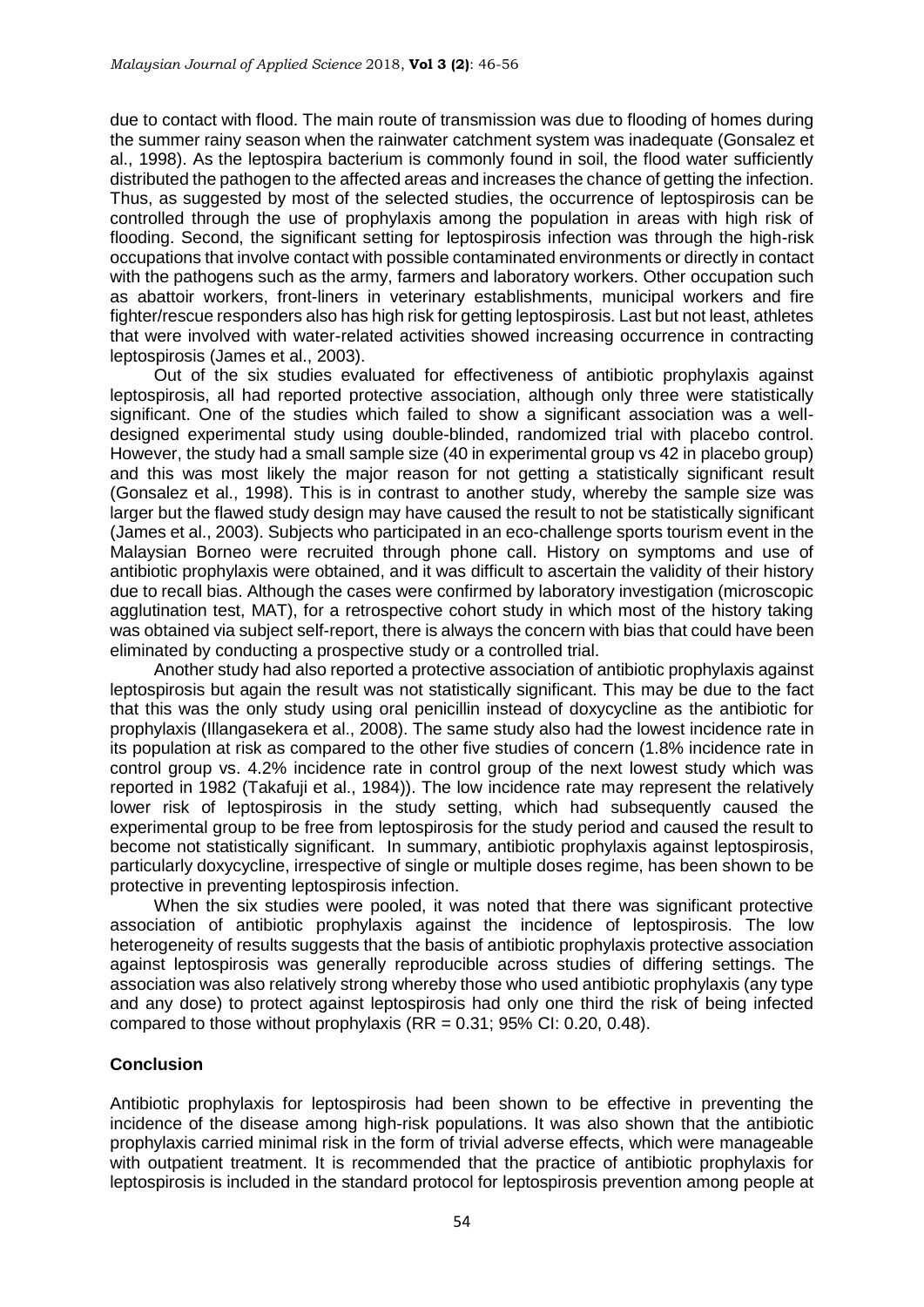due to contact with flood. The main route of transmission was due to flooding of homes during the summer rainy season when the rainwater catchment system was inadequate [\(Gonsalez et](#page-9-7)  [al., 1998\)](#page-9-7). As the leptospira bacterium is commonly found in soil, the flood water sufficiently distributed the pathogen to the affected areas and increases the chance of getting the infection. Thus, as suggested by most of the selected studies, the occurrence of leptospirosis can be controlled through the use of prophylaxis among the population in areas with high risk of flooding. Second, the significant setting for leptospirosis infection was through the high-risk occupations that involve contact with possible contaminated environments or directly in contact with the pathogens such as the army, farmers and laboratory workers. Other occupation such as abattoir workers, front-liners in veterinary establishments, municipal workers and fire fighter/rescue responders also has high risk for getting leptospirosis. Last but not least, athletes that were involved with water-related activities showed increasing occurrence in contracting leptospirosis [\(James et al., 2003\)](#page-9-3).

Out of the six studies evaluated for effectiveness of antibiotic prophylaxis against leptospirosis, all had reported protective association, although only three were statistically significant. One of the studies which failed to show a significant association was a welldesigned experimental study using double-blinded, randomized trial with placebo control. However, the study had a small sample size (40 in experimental group vs 42 in placebo group) and this was most likely the major reason for not getting a statistically significant result [\(Gonsalez et al., 1998\)](#page-9-7). This is in contrast to another study, whereby the sample size was larger but the flawed study design may have caused the result to not be statistically significant [\(James et al., 2003\)](#page-9-3). Subjects who participated in an eco-challenge sports tourism event in the Malaysian Borneo were recruited through phone call. History on symptoms and use of antibiotic prophylaxis were obtained, and it was difficult to ascertain the validity of their history due to recall bias. Although the cases were confirmed by laboratory investigation (microscopic agglutination test, MAT), for a retrospective cohort study in which most of the history taking was obtained via subject self-report, there is always the concern with bias that could have been eliminated by conducting a prospective study or a controlled trial.

Another study had also reported a protective association of antibiotic prophylaxis against leptospirosis but again the result was not statistically significant. This may be due to the fact that this was the only study using oral penicillin instead of doxycycline as the antibiotic for prophylaxis [\(Illangasekera et al., 2008\)](#page-9-6). The same study also had the lowest incidence rate in its population at risk as compared to the other five studies of concern (1.8% incidence rate in control group vs. 4.2% incidence rate in control group of the next lowest study which was reported in 1982 [\(Takafuji et al., 1984\)](#page-10-4)). The low incidence rate may represent the relatively lower risk of leptospirosis in the study setting, which had subsequently caused the experimental group to be free from leptospirosis for the study period and caused the result to become not statistically significant. In summary, antibiotic prophylaxis against leptospirosis, particularly doxycycline, irrespective of single or multiple doses regime, has been shown to be protective in preventing leptospirosis infection.

When the six studies were pooled, it was noted that there was significant protective association of antibiotic prophylaxis against the incidence of leptospirosis. The low heterogeneity of results suggests that the basis of antibiotic prophylaxis protective association against leptospirosis was generally reproducible across studies of differing settings. The association was also relatively strong whereby those who used antibiotic prophylaxis (any type and any dose) to protect against leptospirosis had only one third the risk of being infected compared to those without prophylaxis  $(RR = 0.31; 95\% \text{ Cl}: 0.20, 0.48)$ .

### **Conclusion**

Antibiotic prophylaxis for leptospirosis had been shown to be effective in preventing the incidence of the disease among high-risk populations. It was also shown that the antibiotic prophylaxis carried minimal risk in the form of trivial adverse effects, which were manageable with outpatient treatment. It is recommended that the practice of antibiotic prophylaxis for leptospirosis is included in the standard protocol for leptospirosis prevention among people at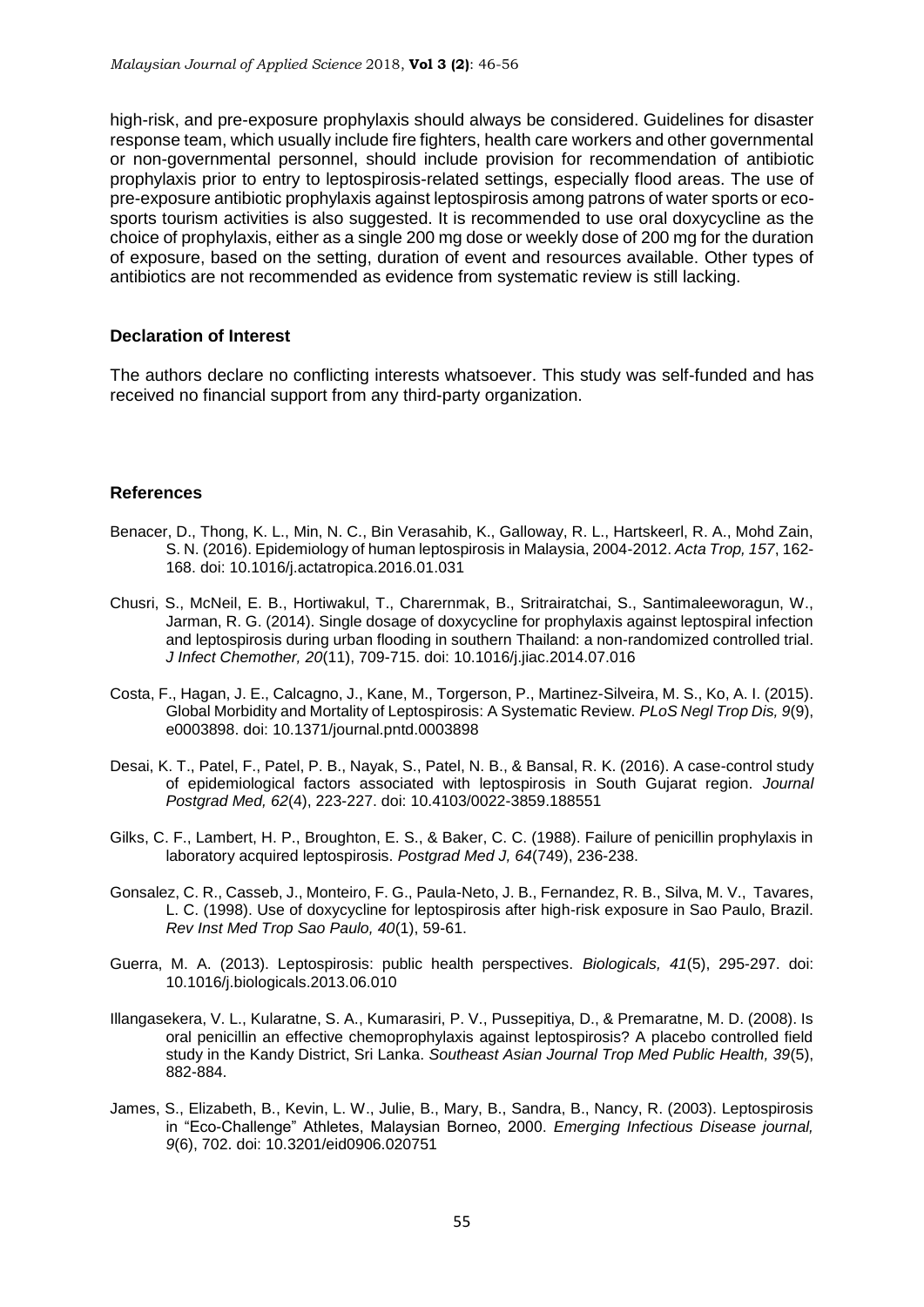high-risk, and pre-exposure prophylaxis should always be considered. Guidelines for disaster response team, which usually include fire fighters, health care workers and other governmental or non-governmental personnel, should include provision for recommendation of antibiotic prophylaxis prior to entry to leptospirosis-related settings, especially flood areas. The use of pre-exposure antibiotic prophylaxis against leptospirosis among patrons of water sports or ecosports tourism activities is also suggested. It is recommended to use oral doxycycline as the choice of prophylaxis, either as a single 200 mg dose or weekly dose of 200 mg for the duration of exposure, based on the setting, duration of event and resources available. Other types of antibiotics are not recommended as evidence from systematic review is still lacking.

#### **Declaration of Interest**

The authors declare no conflicting interests whatsoever. This study was self-funded and has received no financial support from any third-party organization.

#### **References**

- <span id="page-9-2"></span>Benacer, D., Thong, K. L., Min, N. C., Bin Verasahib, K., Galloway, R. L., Hartskeerl, R. A., Mohd Zain, S. N. (2016). Epidemiology of human leptospirosis in Malaysia, 2004-2012. *Acta Trop, 157*, 162- 168. doi: 10.1016/j.actatropica.2016.01.031
- <span id="page-9-5"></span>Chusri, S., McNeil, E. B., Hortiwakul, T., Charernmak, B., Sritrairatchai, S., Santimaleeworagun, W., Jarman, R. G. (2014). Single dosage of doxycycline for prophylaxis against leptospiral infection and leptospirosis during urban flooding in southern Thailand: a non-randomized controlled trial. *J Infect Chemother, 20*(11), 709-715. doi: 10.1016/j.jiac.2014.07.016
- <span id="page-9-1"></span>Costa, F., Hagan, J. E., Calcagno, J., Kane, M., Torgerson, P., Martinez-Silveira, M. S., Ko, A. I. (2015). Global Morbidity and Mortality of Leptospirosis: A Systematic Review. *PLoS Negl Trop Dis, 9*(9), e0003898. doi: 10.1371/journal.pntd.0003898
- <span id="page-9-4"></span>Desai, K. T., Patel, F., Patel, P. B., Nayak, S., Patel, N. B., & Bansal, R. K. (2016). A case-control study of epidemiological factors associated with leptospirosis in South Gujarat region. *Journal Postgrad Med, 62*(4), 223-227. doi: 10.4103/0022-3859.188551
- <span id="page-9-8"></span>Gilks, C. F., Lambert, H. P., Broughton, E. S., & Baker, C. C. (1988). Failure of penicillin prophylaxis in laboratory acquired leptospirosis. *Postgrad Med J, 64*(749), 236-238.
- <span id="page-9-7"></span>Gonsalez, C. R., Casseb, J., Monteiro, F. G., Paula-Neto, J. B., Fernandez, R. B., Silva, M. V., Tavares, L. C. (1998). Use of doxycycline for leptospirosis after high-risk exposure in Sao Paulo, Brazil. *Rev Inst Med Trop Sao Paulo, 40*(1), 59-61.
- <span id="page-9-0"></span>Guerra, M. A. (2013). Leptospirosis: public health perspectives. *Biologicals, 41*(5), 295-297. doi: 10.1016/j.biologicals.2013.06.010
- <span id="page-9-6"></span>Illangasekera, V. L., Kularatne, S. A., Kumarasiri, P. V., Pussepitiya, D., & Premaratne, M. D. (2008). Is oral penicillin an effective chemoprophylaxis against leptospirosis? A placebo controlled field study in the Kandy District, Sri Lanka. *Southeast Asian Journal Trop Med Public Health, 39*(5), 882-884.
- <span id="page-9-3"></span>James, S., Elizabeth, B., Kevin, L. W., Julie, B., Mary, B., Sandra, B., Nancy, R. (2003). Leptospirosis in "Eco-Challenge" Athletes, Malaysian Borneo, 2000. *Emerging Infectious Disease journal, 9*(6), 702. doi: 10.3201/eid0906.020751